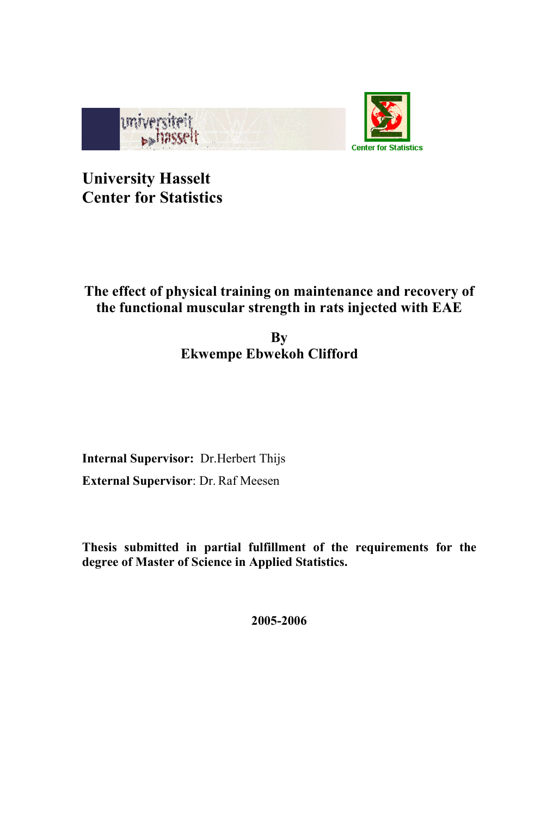

University Hasselt Center for Statistics

# The effect of physical training on maintenance and recovery of the functional muscular strength in rats injected with EAE

## **By** Ekwempe Ebwekoh Clifford

Internal Supervisor: Dr.Herbert Thijs External Supervisor: Dr. Raf Meesen

Thesis submitted in partial fulfillment of the requirements for the degree of Master of Science in Applied Statistics.

2005-2006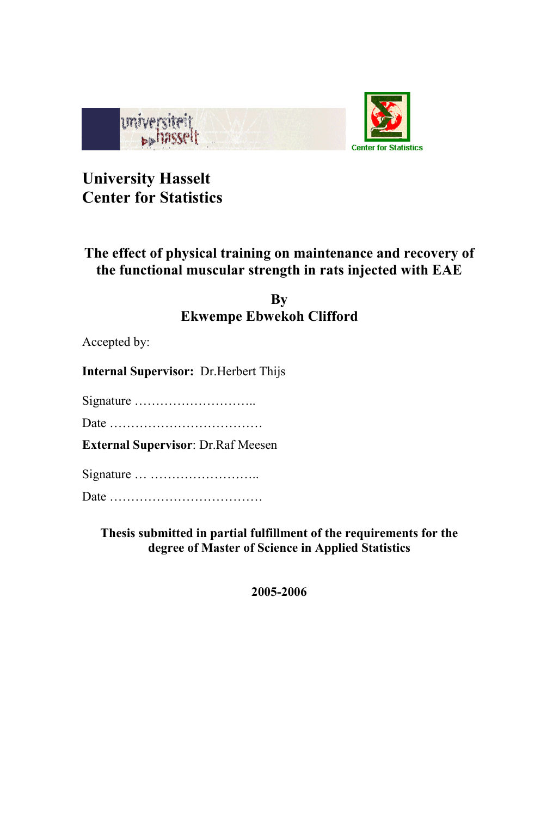

# University Hasselt Center for Statistics

## The effect of physical training on maintenance and recovery of the functional muscular strength in rats injected with EAE

## By Ekwempe Ebwekoh Clifford

Accepted by:

Internal Supervisor: Dr.Herbert Thijs

Signature ………………………..

Date ………………………………

External Supervisor: Dr.Raf Meesen

Signature … ……………………..

Date ………………………………

Thesis submitted in partial fulfillment of the requirements for the degree of Master of Science in Applied Statistics

2005-2006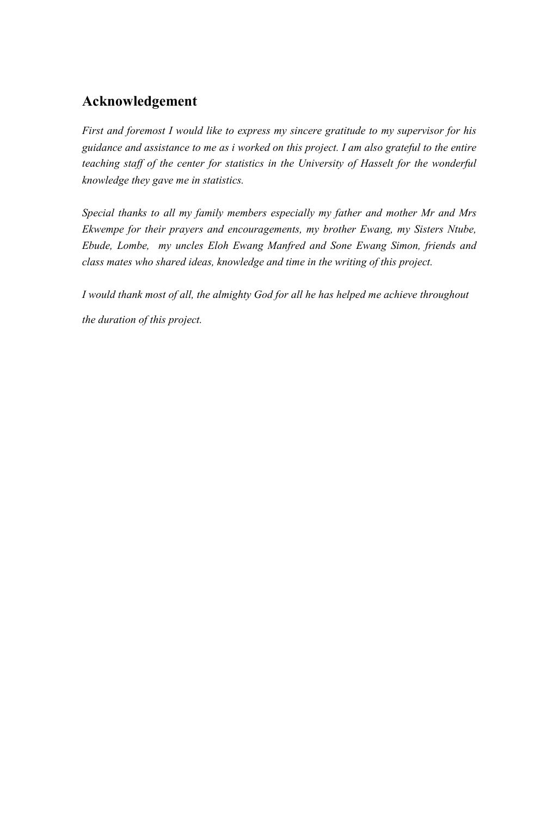## Acknowledgement

First and foremost I would like to express my sincere gratitude to my supervisor for his guidance and assistance to me as i worked on this project. I am also grateful to the entire teaching staff of the center for statistics in the University of Hasselt for the wonderful knowledge they gave me in statistics.

Special thanks to all my family members especially my father and mother Mr and Mrs Ekwempe for their prayers and encouragements, my brother Ewang, my Sisters Ntube, Ebude, Lombe, my uncles Eloh Ewang Manfred and Sone Ewang Simon, friends and class mates who shared ideas, knowledge and time in the writing of this project.

I would thank most of all, the almighty God for all he has helped me achieve throughout the duration of this project.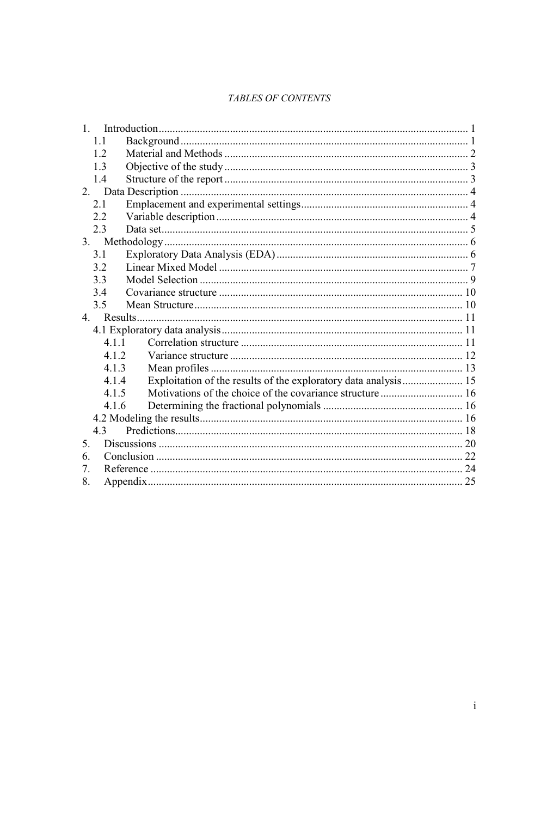## TABLES OF CONTENTS

| 1              |  |
|----------------|--|
| 11             |  |
| 1.2            |  |
| 1.3            |  |
| 1.4            |  |
| 2 <sub>1</sub> |  |
| 2.1            |  |
| 2.2            |  |
| 2.3            |  |
| 3.             |  |
| 3.1            |  |
| 3.2            |  |
| 3.3            |  |
| 34             |  |
| 3.5            |  |
| 4.             |  |
|                |  |
| 4.1.1          |  |
| 4 1 2          |  |
| 4.1.3          |  |
| 4.1.4          |  |
| 4.1.5          |  |
| 4.1.6          |  |
|                |  |
| 4.3            |  |
| 5.             |  |
| 6              |  |
| 7.             |  |
| 8.             |  |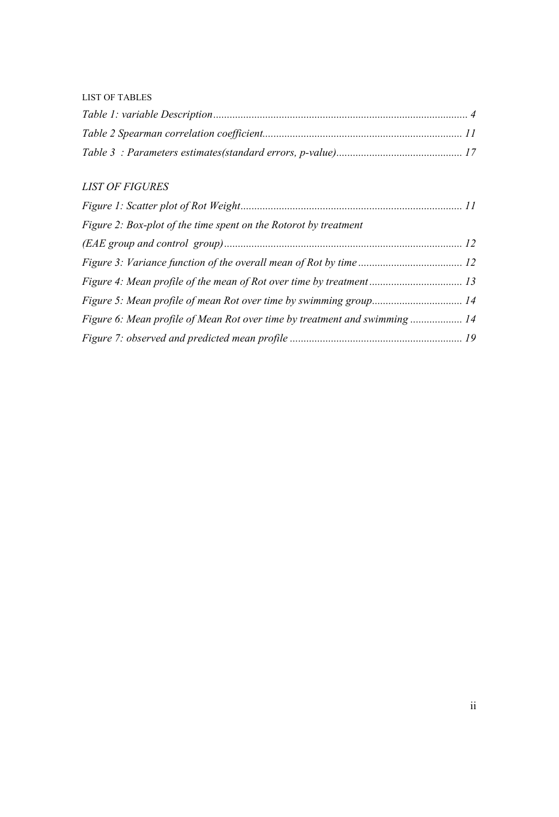### LIST OF TABLES

## LIST OF FIGURES

| Figure 2: Box-plot of the time spent on the Rotorot by treatment           |  |
|----------------------------------------------------------------------------|--|
|                                                                            |  |
|                                                                            |  |
|                                                                            |  |
|                                                                            |  |
| Figure 6: Mean profile of Mean Rot over time by treatment and swimming  14 |  |
|                                                                            |  |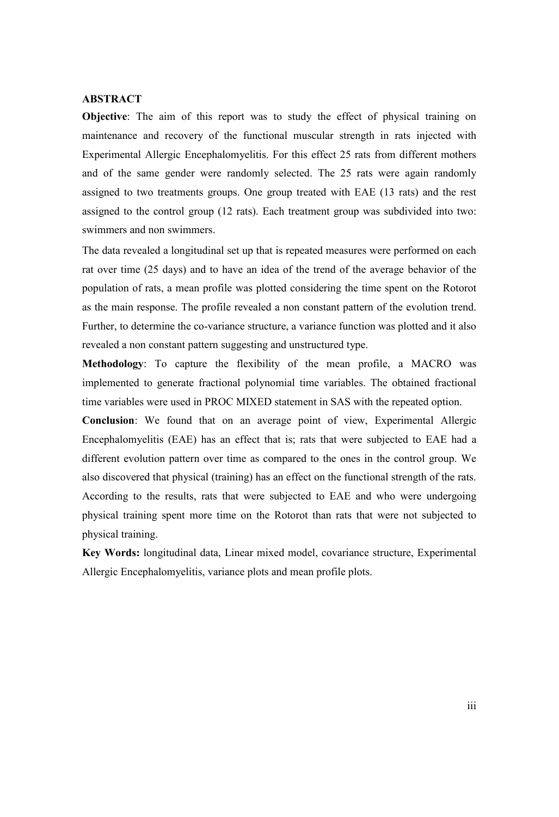### ABSTRACT

Objective: The aim of this report was to study the effect of physical training on maintenance and recovery of the functional muscular strength in rats injected with Experimental Allergic Encephalomyelitis. For this effect 25 rats from different mothers and of the same gender were randomly selected. The 25 rats were again randomly assigned to two treatments groups. One group treated with EAE (13 rats) and the rest assigned to the control group (12 rats). Each treatment group was subdivided into two: swimmers and non swimmers.

The data revealed a longitudinal set up that is repeated measures were performed on each rat over time (25 days) and to have an idea of the trend of the average behavior of the population of rats, a mean profile was plotted considering the time spent on the Rotorot as the main response. The profile revealed a non constant pattern of the evolution trend. Further, to determine the co-variance structure, a variance function was plotted and it also revealed a non constant pattern suggesting and unstructured type.

Methodology: To capture the flexibility of the mean profile, a MACRO was implemented to generate fractional polynomial time variables. The obtained fractional time variables were used in PROC MIXED statement in SAS with the repeated option.

Conclusion: We found that on an average point of view, Experimental Allergic Encephalomyelitis (EAE) has an effect that is; rats that were subjected to EAE had a different evolution pattern over time as compared to the ones in the control group. We also discovered that physical (training) has an effect on the functional strength of the rats. According to the results, rats that were subjected to EAE and who were undergoing physical training spent more time on the Rotorot than rats that were not subjected to physical training.

Key Words: longitudinal data, Linear mixed model, covariance structure, Experimental Allergic Encephalomyelitis, variance plots and mean profile plots.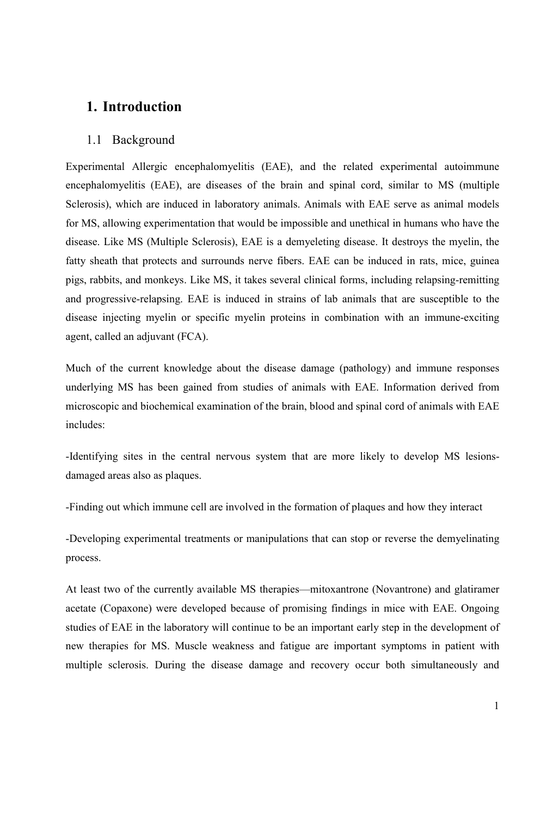## 1. Introduction

#### 1.1 Background

Experimental Allergic encephalomyelitis (EAE), and the related experimental autoimmune encephalomyelitis (EAE), are diseases of the brain and spinal cord, similar to MS (multiple Sclerosis), which are induced in laboratory animals. Animals with EAE serve as animal models for MS, allowing experimentation that would be impossible and unethical in humans who have the disease. Like MS (Multiple Sclerosis), EAE is a demyeleting disease. It destroys the myelin, the fatty sheath that protects and surrounds nerve fibers. EAE can be induced in rats, mice, guinea pigs, rabbits, and monkeys. Like MS, it takes several clinical forms, including relapsing-remitting and progressive-relapsing. EAE is induced in strains of lab animals that are susceptible to the disease injecting myelin or specific myelin proteins in combination with an immune-exciting agent, called an adjuvant (FCA).

Much of the current knowledge about the disease damage (pathology) and immune responses underlying MS has been gained from studies of animals with EAE. Information derived from microscopic and biochemical examination of the brain, blood and spinal cord of animals with EAE includes:

-Identifying sites in the central nervous system that are more likely to develop MS lesionsdamaged areas also as plaques.

-Finding out which immune cell are involved in the formation of plaques and how they interact

-Developing experimental treatments or manipulations that can stop or reverse the demyelinating process.

At least two of the currently available MS therapies—mitoxantrone (Novantrone) and glatiramer acetate (Copaxone) were developed because of promising findings in mice with EAE. Ongoing studies of EAE in the laboratory will continue to be an important early step in the development of new therapies for MS. Muscle weakness and fatigue are important symptoms in patient with multiple sclerosis. During the disease damage and recovery occur both simultaneously and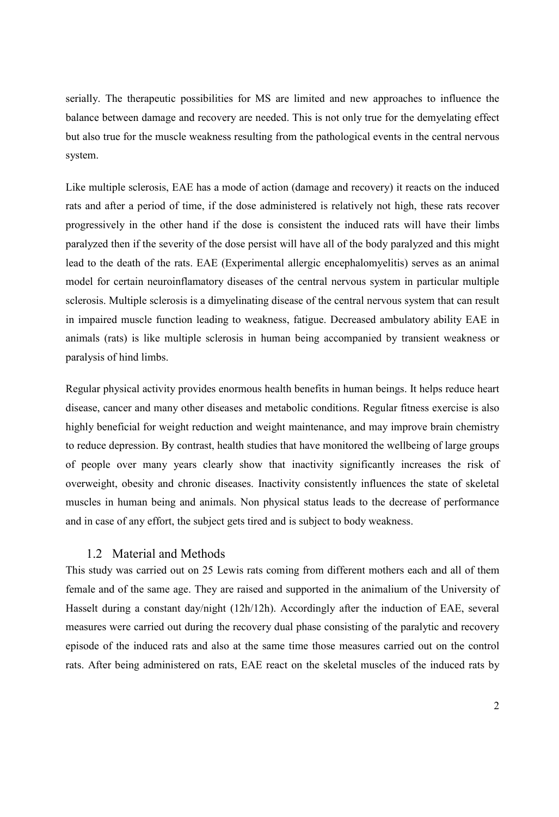serially. The therapeutic possibilities for MS are limited and new approaches to influence the balance between damage and recovery are needed. This is not only true for the demyelating effect but also true for the muscle weakness resulting from the pathological events in the central nervous system.

Like multiple sclerosis, EAE has a mode of action (damage and recovery) it reacts on the induced rats and after a period of time, if the dose administered is relatively not high, these rats recover progressively in the other hand if the dose is consistent the induced rats will have their limbs paralyzed then if the severity of the dose persist will have all of the body paralyzed and this might lead to the death of the rats. EAE (Experimental allergic encephalomyelitis) serves as an animal model for certain neuroinflamatory diseases of the central nervous system in particular multiple sclerosis. Multiple sclerosis is a dimyelinating disease of the central nervous system that can result in impaired muscle function leading to weakness, fatigue. Decreased ambulatory ability EAE in animals (rats) is like multiple sclerosis in human being accompanied by transient weakness or paralysis of hind limbs.

Regular physical activity provides enormous health benefits in human beings. It helps reduce heart disease, cancer and many other diseases and metabolic conditions. Regular fitness exercise is also highly beneficial for weight reduction and weight maintenance, and may improve brain chemistry to reduce depression. By contrast, health studies that have monitored the wellbeing of large groups of people over many years clearly show that inactivity significantly increases the risk of overweight, obesity and chronic diseases. Inactivity consistently influences the state of skeletal muscles in human being and animals. Non physical status leads to the decrease of performance and in case of any effort, the subject gets tired and is subject to body weakness.

### 1.2 Material and Methods

This study was carried out on 25 Lewis rats coming from different mothers each and all of them female and of the same age. They are raised and supported in the animalium of the University of Hasselt during a constant day/night (12h/12h). Accordingly after the induction of EAE, several measures were carried out during the recovery dual phase consisting of the paralytic and recovery episode of the induced rats and also at the same time those measures carried out on the control rats. After being administered on rats, EAE react on the skeletal muscles of the induced rats by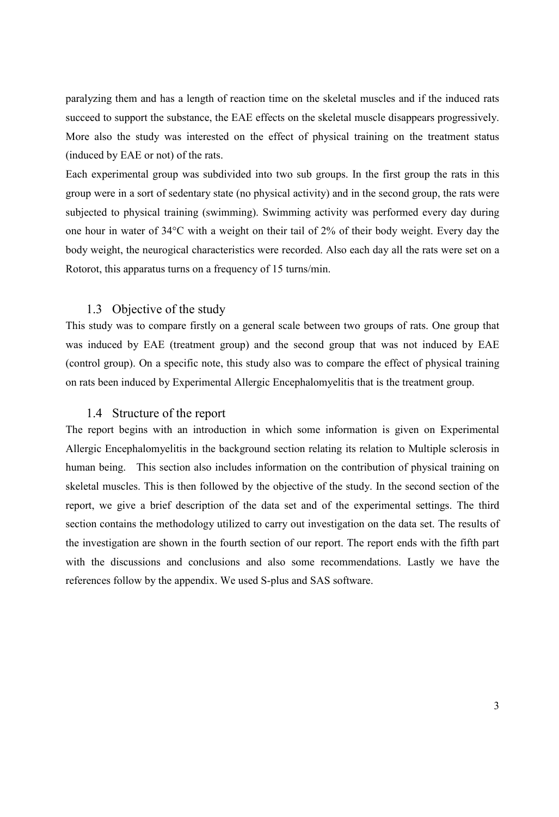paralyzing them and has a length of reaction time on the skeletal muscles and if the induced rats succeed to support the substance, the EAE effects on the skeletal muscle disappears progressively. More also the study was interested on the effect of physical training on the treatment status (induced by EAE or not) of the rats.

Each experimental group was subdivided into two sub groups. In the first group the rats in this group were in a sort of sedentary state (no physical activity) and in the second group, the rats were subjected to physical training (swimming). Swimming activity was performed every day during one hour in water of 34°C with a weight on their tail of 2% of their body weight. Every day the body weight, the neurogical characteristics were recorded. Also each day all the rats were set on a Rotorot, this apparatus turns on a frequency of 15 turns/min.

### 1.3 Objective of the study

This study was to compare firstly on a general scale between two groups of rats. One group that was induced by EAE (treatment group) and the second group that was not induced by EAE (control group). On a specific note, this study also was to compare the effect of physical training on rats been induced by Experimental Allergic Encephalomyelitis that is the treatment group.

#### 1.4 Structure of the report

The report begins with an introduction in which some information is given on Experimental Allergic Encephalomyelitis in the background section relating its relation to Multiple sclerosis in human being. This section also includes information on the contribution of physical training on skeletal muscles. This is then followed by the objective of the study. In the second section of the report, we give a brief description of the data set and of the experimental settings. The third section contains the methodology utilized to carry out investigation on the data set. The results of the investigation are shown in the fourth section of our report. The report ends with the fifth part with the discussions and conclusions and also some recommendations. Lastly we have the references follow by the appendix. We used S-plus and SAS software.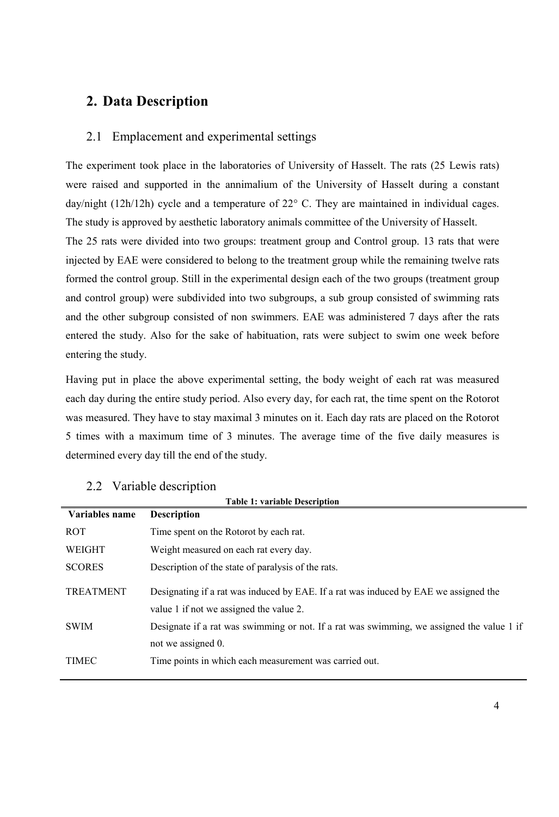## 2. Data Description

### 2.1 Emplacement and experimental settings

The experiment took place in the laboratories of University of Hasselt. The rats (25 Lewis rats) were raised and supported in the annimalium of the University of Hasselt during a constant day/night (12h/12h) cycle and a temperature of 22° C. They are maintained in individual cages. The study is approved by aesthetic laboratory animals committee of the University of Hasselt.

The 25 rats were divided into two groups: treatment group and Control group. 13 rats that were injected by EAE were considered to belong to the treatment group while the remaining twelve rats formed the control group. Still in the experimental design each of the two groups (treatment group and control group) were subdivided into two subgroups, a sub group consisted of swimming rats and the other subgroup consisted of non swimmers. EAE was administered 7 days after the rats entered the study. Also for the sake of habituation, rats were subject to swim one week before entering the study.

Having put in place the above experimental setting, the body weight of each rat was measured each day during the entire study period. Also every day, for each rat, the time spent on the Rotorot was measured. They have to stay maximal 3 minutes on it. Each day rats are placed on the Rotorot 5 times with a maximum time of 3 minutes. The average time of the five daily measures is determined every day till the end of the study.

| <b>Table 1: variable Description</b> |                                                                                                                                 |  |  |  |  |
|--------------------------------------|---------------------------------------------------------------------------------------------------------------------------------|--|--|--|--|
| Variables name                       | <b>Description</b>                                                                                                              |  |  |  |  |
| <b>ROT</b>                           | Time spent on the Rotorot by each rat.                                                                                          |  |  |  |  |
| WEIGHT                               | Weight measured on each rat every day.                                                                                          |  |  |  |  |
| <b>SCORES</b>                        | Description of the state of paralysis of the rats.                                                                              |  |  |  |  |
| <b>TREATMENT</b>                     | Designating if a rat was induced by EAE. If a rat was induced by EAE we assigned the<br>value 1 if not we assigned the value 2. |  |  |  |  |
| <b>SWIM</b>                          | Designate if a rat was swimming or not. If a rat was swimming, we assigned the value 1 if<br>not we assigned 0.                 |  |  |  |  |
| <b>TIMEC</b>                         | Time points in which each measurement was carried out.                                                                          |  |  |  |  |

### 2.2 Variable description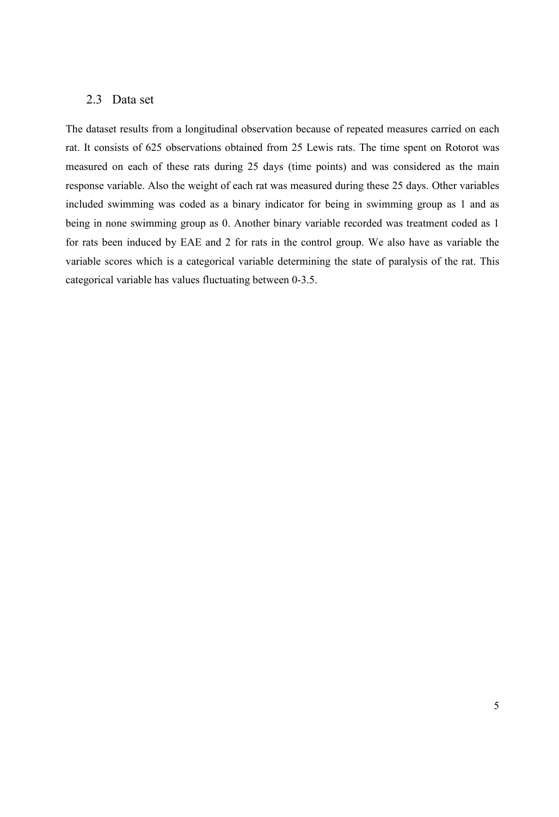### 2.3 Data set

The dataset results from a longitudinal observation because of repeated measures carried on each rat. It consists of 625 observations obtained from 25 Lewis rats. The time spent on Rotorot was measured on each of these rats during 25 days (time points) and was considered as the main response variable. Also the weight of each rat was measured during these 25 days. Other variables included swimming was coded as a binary indicator for being in swimming group as 1 and as being in none swimming group as 0. Another binary variable recorded was treatment coded as 1 for rats been induced by EAE and 2 for rats in the control group. We also have as variable the variable scores which is a categorical variable determining the state of paralysis of the rat. This categorical variable has values fluctuating between 0-3.5.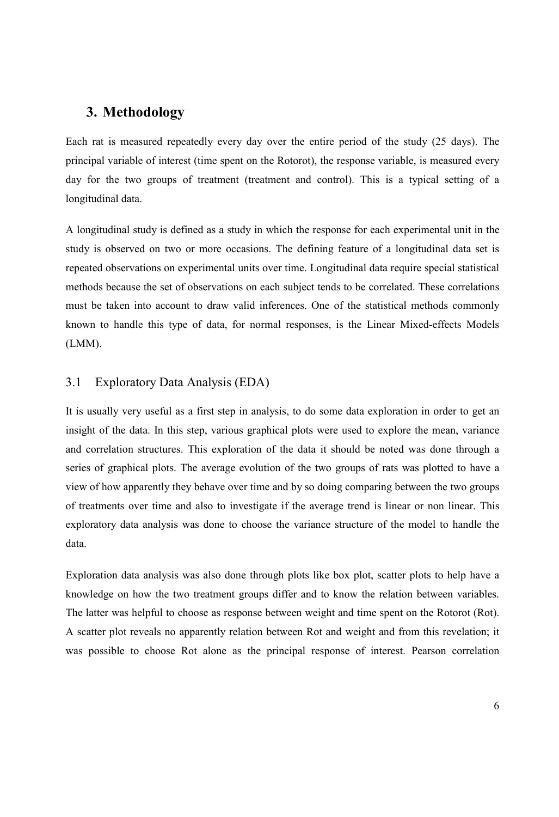## 3. Methodology

Each rat is measured repeatedly every day over the entire period of the study (25 days). The principal variable of interest (time spent on the Rotorot), the response variable, is measured every day for the two groups of treatment (treatment and control). This is a typical setting of a longitudinal data.

A longitudinal study is defined as a study in which the response for each experimental unit in the study is observed on two or more occasions. The defining feature of a longitudinal data set is repeated observations on experimental units over time. Longitudinal data require special statistical methods because the set of observations on each subject tends to be correlated. These correlations must be taken into account to draw valid inferences. One of the statistical methods commonly known to handle this type of data, for normal responses, is the Linear Mixed-effects Models (LMM).

## 3.1 Exploratory Data Analysis (EDA)

It is usually very useful as a first step in analysis, to do some data exploration in order to get an insight of the data. In this step, various graphical plots were used to explore the mean, variance and correlation structures. This exploration of the data it should be noted was done through a series of graphical plots. The average evolution of the two groups of rats was plotted to have a view of how apparently they behave over time and by so doing comparing between the two groups of treatments over time and also to investigate if the average trend is linear or non linear. This exploratory data analysis was done to choose the variance structure of the model to handle the data.

Exploration data analysis was also done through plots like box plot, scatter plots to help have a knowledge on how the two treatment groups differ and to know the relation between variables. The latter was helpful to choose as response between weight and time spent on the Rotorot (Rot). A scatter plot reveals no apparently relation between Rot and weight and from this revelation; it was possible to choose Rot alone as the principal response of interest. Pearson correlation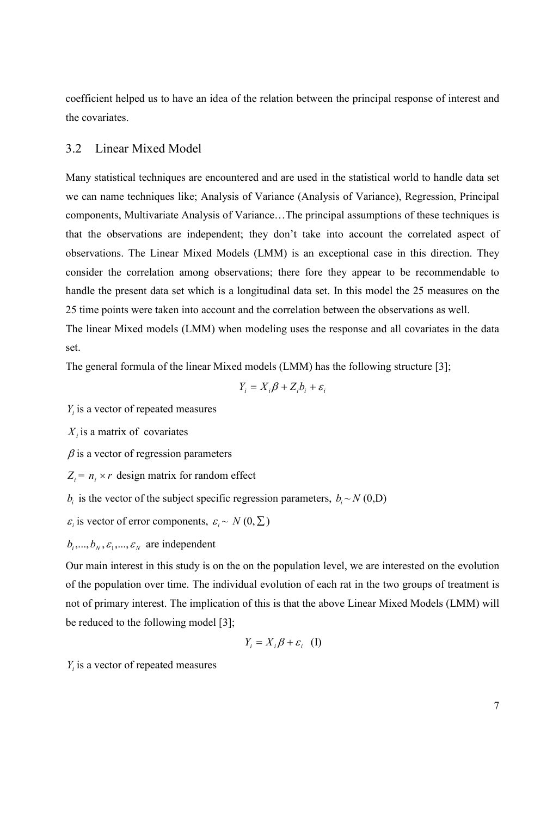coefficient helped us to have an idea of the relation between the principal response of interest and the covariates.

#### 3.2 Linear Mixed Model

Many statistical techniques are encountered and are used in the statistical world to handle data set we can name techniques like; Analysis of Variance (Analysis of Variance), Regression, Principal components, Multivariate Analysis of Variance…The principal assumptions of these techniques is that the observations are independent; they don't take into account the correlated aspect of observations. The Linear Mixed Models (LMM) is an exceptional case in this direction. They consider the correlation among observations; there fore they appear to be recommendable to handle the present data set which is a longitudinal data set. In this model the 25 measures on the 25 time points were taken into account and the correlation between the observations as well.

The linear Mixed models (LMM) when modeling uses the response and all covariates in the data set.

The general formula of the linear Mixed models (LMM) has the following structure [3];

$$
Y_i = X_i \beta + Z_i b_i + \varepsilon_i
$$

 $Y_i$  is a vector of repeated measures

 $X_i$  is a matrix of covariates

 $\beta$  is a vector of regression parameters

 $Z_i = n_i \times r$  design matrix for random effect

 $b_i$  is the vector of the subject specific regression parameters,  $b_i \sim N(0,D)$ 

 $\varepsilon_i$  is vector of error components,  $\varepsilon_i \sim N(0, \Sigma)$ 

 $b_i, ..., b_N, \varepsilon_1, ..., \varepsilon_N$  are independent

Our main interest in this study is on the on the population level, we are interested on the evolution of the population over time. The individual evolution of each rat in the two groups of treatment is not of primary interest. The implication of this is that the above Linear Mixed Models (LMM) will be reduced to the following model [3];

$$
Y_i = X_i \beta + \varepsilon_i \quad (I)
$$

 $Y_i$  is a vector of repeated measures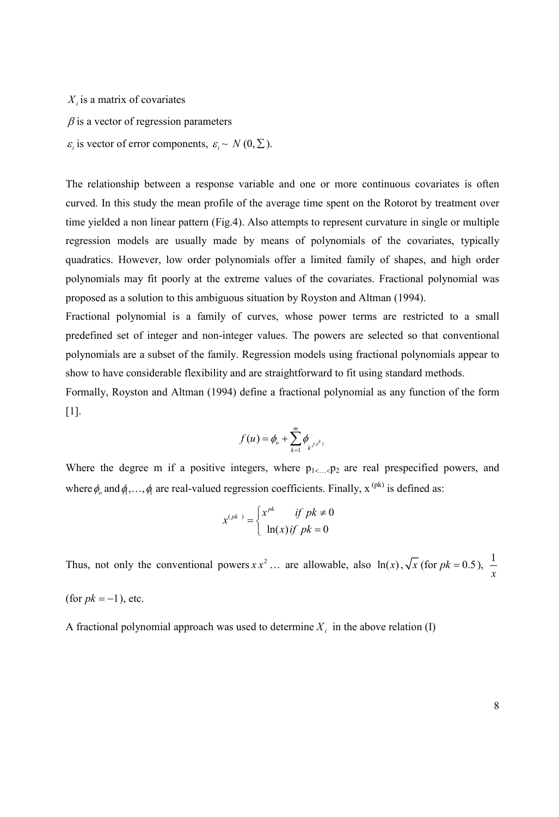$X_i$  is a matrix of covariates

$$
\beta
$$
 is a vector of regression parameters

 $\varepsilon_i$  is vector of error components,  $\varepsilon_i \sim N(0, \Sigma)$ .

The relationship between a response variable and one or more continuous covariates is often curved. In this study the mean profile of the average time spent on the Rotorot by treatment over time yielded a non linear pattern (Fig.4). Also attempts to represent curvature in single or multiple regression models are usually made by means of polynomials of the covariates, typically quadratics. However, low order polynomials offer a limited family of shapes, and high order polynomials may fit poorly at the extreme values of the covariates. Fractional polynomial was proposed as a solution to this ambiguous situation by Royston and Altman (1994).

Fractional polynomial is a family of curves, whose power terms are restricted to a small predefined set of integer and non-integer values. The powers are selected so that conventional polynomials are a subset of the family. Regression models using fractional polynomials appear to show to have considerable flexibility and are straightforward to fit using standard methods.

Formally, Royston and Altman (1994) define a fractional polynomial as any function of the form  $[1]$ .

$$
f(u) = \phi_o + \sum_{k=1}^{m} \phi_{k^{x(p^k)}}
$$

Where the degree m if a positive integers, where  $p_{1<...<}p_2$  are real prespecified powers, and where  $\phi_o$  and  $\phi_1, \ldots, \phi_l$  are real-valued regression coefficients. Finally,  $x^{(pk)}$  is defined as:

$$
x^{(pk)} = \begin{cases} x^{pk} & \text{if } pk \neq 0 \\ \ln(x) \text{if } pk = 0 \end{cases}
$$

Thus, not only the conventional powers  $xx^2$  ... are allowable, also  $\ln(x)$ ,  $\sqrt{x}$  (for  $pk = 0.5$ ),  $\frac{1}{x}$  $\mathbf{x}$ (for  $pk = -1$ ), etc.

A fractional polynomial approach was used to determine  $X_i$  in the above relation (I)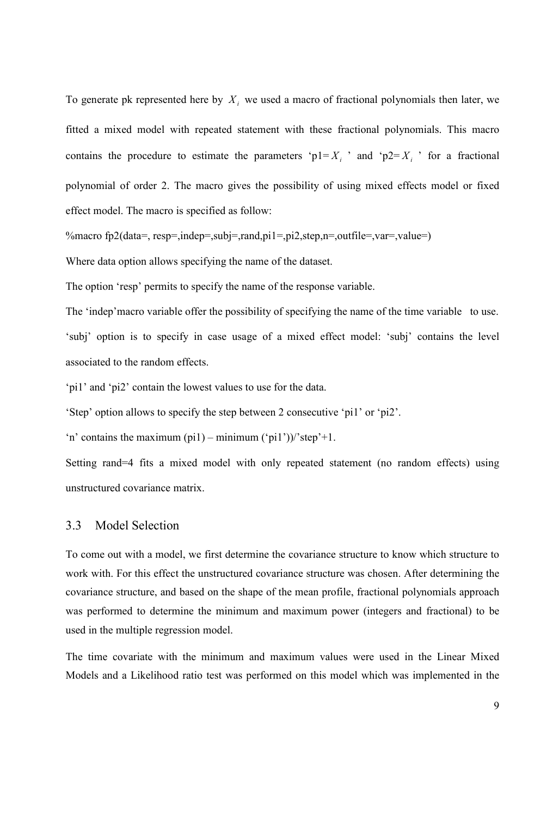To generate pk represented here by  $X_i$ , we used a macro of fractional polynomials then later, we fitted a mixed model with repeated statement with these fractional polynomials. This macro contains the procedure to estimate the parameters ' $p1 = X_i$ ' and ' $p2 = X_i$ ' for a fractional polynomial of order 2. The macro gives the possibility of using mixed effects model or fixed effect model. The macro is specified as follow:

%macro fp2(data=, resp=,indep=,subj=,rand,pi1=,pi2,step,n=,outfile=,var=,value=)

Where data option allows specifying the name of the dataset.

The option 'resp' permits to specify the name of the response variable.

The 'indep'macro variable offer the possibility of specifying the name of the time variable to use. 'subj' option is to specify in case usage of a mixed effect model: 'subj' contains the level associated to the random effects.

'pi1' and 'pi2' contain the lowest values to use for the data.

'Step' option allows to specify the step between 2 consecutive 'pi1' or 'pi2'.

'n' contains the maximum  $pi(1)$  – minimum  $('pi1')$ )/'step'+1.

Setting rand=4 fits a mixed model with only repeated statement (no random effects) using unstructured covariance matrix.

#### 3.3 Model Selection

To come out with a model, we first determine the covariance structure to know which structure to work with. For this effect the unstructured covariance structure was chosen. After determining the covariance structure, and based on the shape of the mean profile, fractional polynomials approach was performed to determine the minimum and maximum power (integers and fractional) to be used in the multiple regression model.

The time covariate with the minimum and maximum values were used in the Linear Mixed Models and a Likelihood ratio test was performed on this model which was implemented in the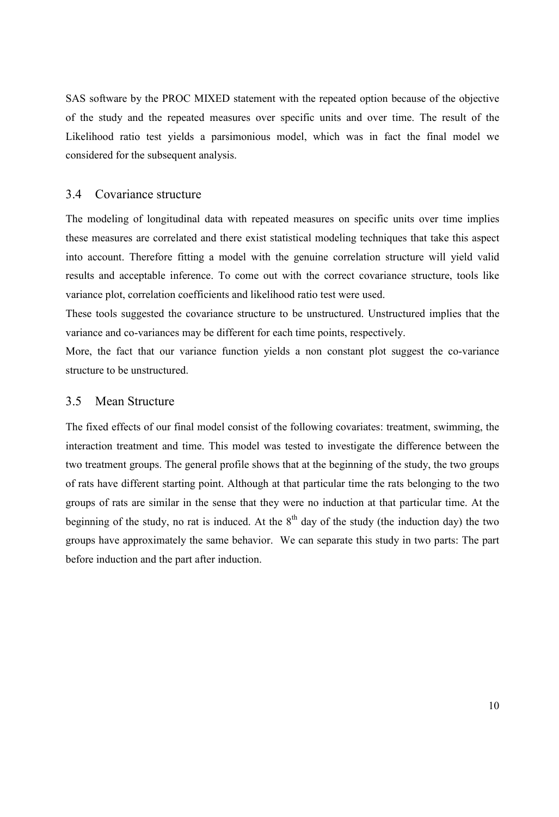SAS software by the PROC MIXED statement with the repeated option because of the objective of the study and the repeated measures over specific units and over time. The result of the Likelihood ratio test yields a parsimonious model, which was in fact the final model we considered for the subsequent analysis.

#### 3.4 Covariance structure

The modeling of longitudinal data with repeated measures on specific units over time implies these measures are correlated and there exist statistical modeling techniques that take this aspect into account. Therefore fitting a model with the genuine correlation structure will yield valid results and acceptable inference. To come out with the correct covariance structure, tools like variance plot, correlation coefficients and likelihood ratio test were used.

These tools suggested the covariance structure to be unstructured. Unstructured implies that the variance and co-variances may be different for each time points, respectively.

More, the fact that our variance function yields a non constant plot suggest the co-variance structure to be unstructured.

#### 3.5 Mean Structure

The fixed effects of our final model consist of the following covariates: treatment, swimming, the interaction treatment and time. This model was tested to investigate the difference between the two treatment groups. The general profile shows that at the beginning of the study, the two groups of rats have different starting point. Although at that particular time the rats belonging to the two groups of rats are similar in the sense that they were no induction at that particular time. At the beginning of the study, no rat is induced. At the  $8<sup>th</sup>$  day of the study (the induction day) the two groups have approximately the same behavior. We can separate this study in two parts: The part before induction and the part after induction.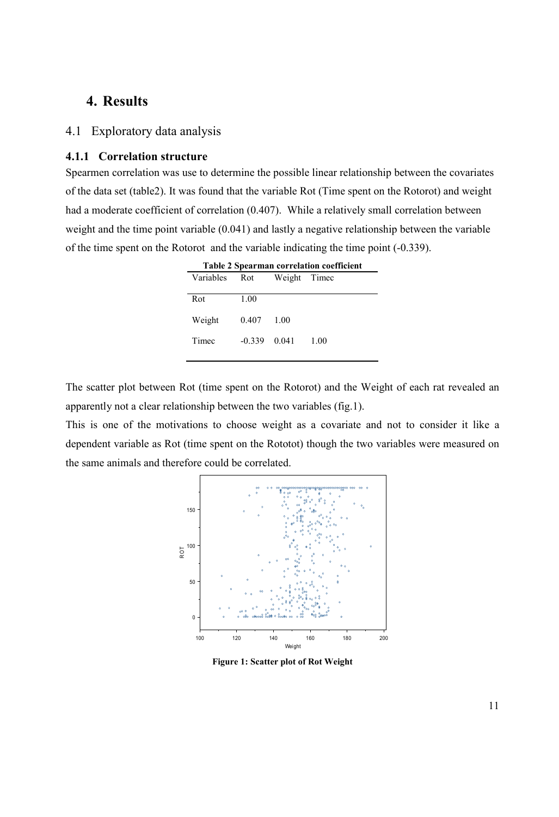## 4. Results

### 4.1 Exploratory data analysis

#### 4.1.1 Correlation structure

Spearmen correlation was use to determine the possible linear relationship between the covariates of the data set (table2). It was found that the variable Rot (Time spent on the Rotorot) and weight had a moderate coefficient of correlation (0.407). While a relatively small correlation between weight and the time point variable (0.041) and lastly a negative relationship between the variable of the time spent on the Rotorot and the variable indicating the time point (-0.339).

| <b>Table 2 Spearman correlation coefficient</b> |          |              |      |  |  |
|-------------------------------------------------|----------|--------------|------|--|--|
| Variables                                       | Rot      | Weight Timec |      |  |  |
|                                                 |          |              |      |  |  |
| Rot                                             | 1.00     |              |      |  |  |
|                                                 |          |              |      |  |  |
| Weight                                          | 0.407    | 1 OO         |      |  |  |
|                                                 |          |              |      |  |  |
| Timec                                           | $-0.339$ | 0.041        | 1.00 |  |  |
|                                                 |          |              |      |  |  |

The scatter plot between Rot (time spent on the Rotorot) and the Weight of each rat revealed an apparently not a clear relationship between the two variables (fig.1).

This is one of the motivations to choose weight as a covariate and not to consider it like a dependent variable as Rot (time spent on the Rototot) though the two variables were measured on the same animals and therefore could be correlated.



Figure 1: Scatter plot of Rot Weight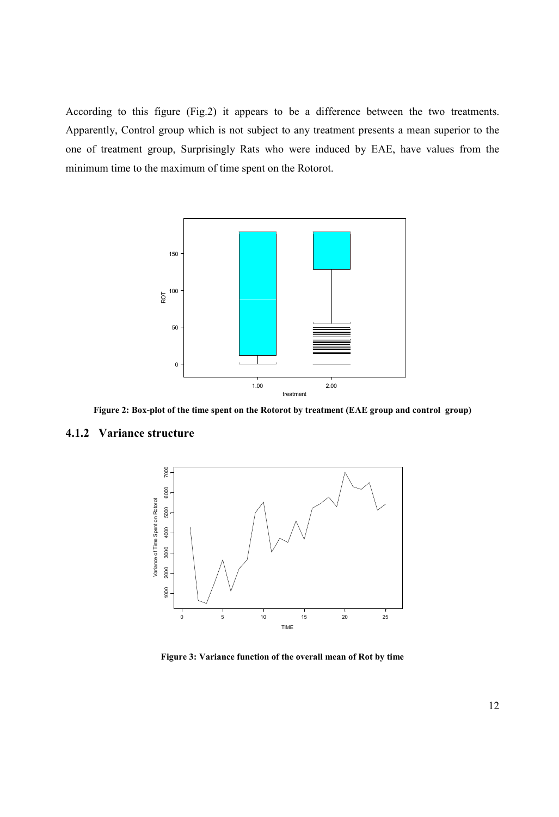According to this figure (Fig.2) it appears to be a difference between the two treatments. Apparently, Control group which is not subject to any treatment presents a mean superior to the one of treatment group, Surprisingly Rats who were induced by EAE, have values from the minimum time to the maximum of time spent on the Rotorot.



Figure 2: Box-plot of the time spent on the Rotorot by treatment (EAE group and control group)

#### 4.1.2 Variance structure



Figure 3: Variance function of the overall mean of Rot by time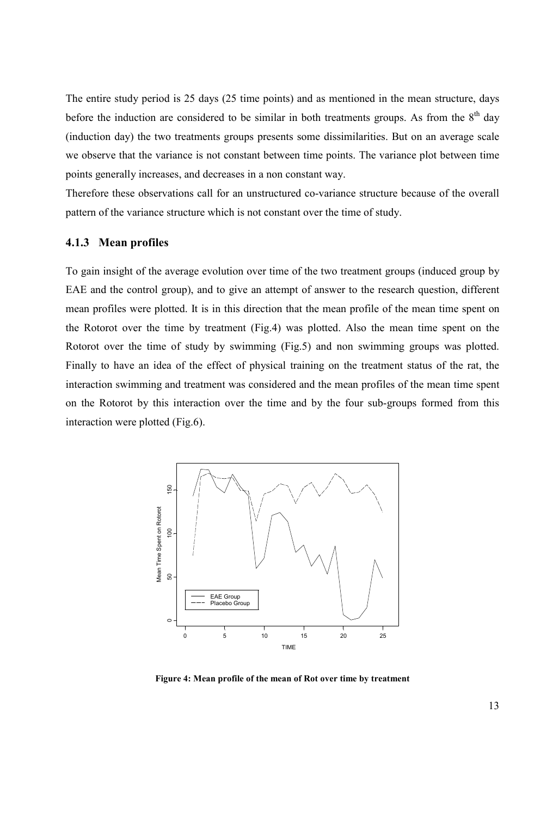The entire study period is 25 days (25 time points) and as mentioned in the mean structure, days before the induction are considered to be similar in both treatments groups. As from the  $8<sup>th</sup>$  day (induction day) the two treatments groups presents some dissimilarities. But on an average scale we observe that the variance is not constant between time points. The variance plot between time points generally increases, and decreases in a non constant way.

Therefore these observations call for an unstructured co-variance structure because of the overall pattern of the variance structure which is not constant over the time of study.

#### 4.1.3 Mean profiles

To gain insight of the average evolution over time of the two treatment groups (induced group by EAE and the control group), and to give an attempt of answer to the research question, different mean profiles were plotted. It is in this direction that the mean profile of the mean time spent on the Rotorot over the time by treatment (Fig.4) was plotted. Also the mean time spent on the Rotorot over the time of study by swimming (Fig.5) and non swimming groups was plotted. Finally to have an idea of the effect of physical training on the treatment status of the rat, the interaction swimming and treatment was considered and the mean profiles of the mean time spent on the Rotorot by this interaction over the time and by the four sub-groups formed from this interaction were plotted (Fig.6).



Figure 4: Mean profile of the mean of Rot over time by treatment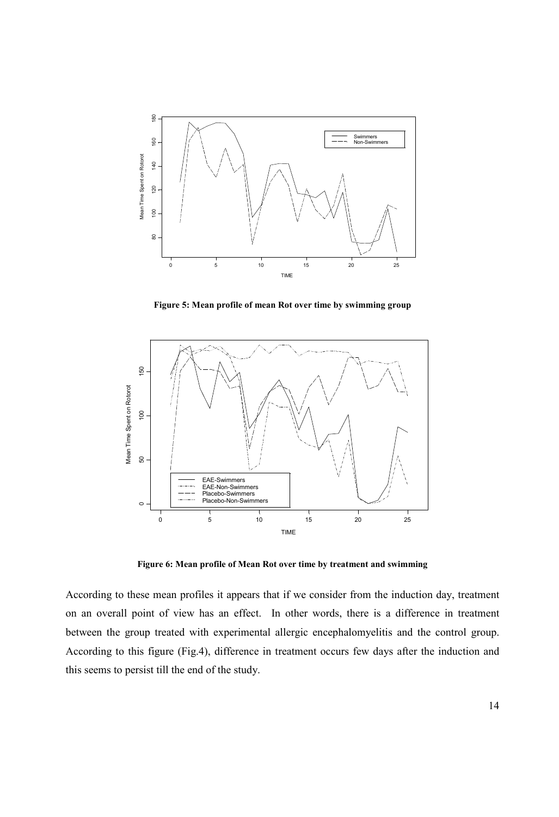

Figure 5: Mean profile of mean Rot over time by swimming group



Figure 6: Mean profile of Mean Rot over time by treatment and swimming

According to these mean profiles it appears that if we consider from the induction day, treatment on an overall point of view has an effect. In other words, there is a difference in treatment between the group treated with experimental allergic encephalomyelitis and the control group. According to this figure (Fig.4), difference in treatment occurs few days after the induction and this seems to persist till the end of the study.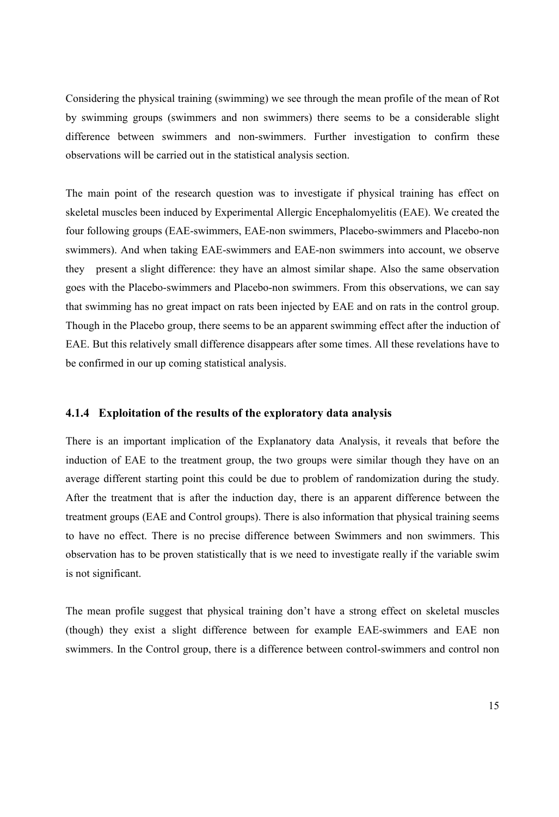Considering the physical training (swimming) we see through the mean profile of the mean of Rot by swimming groups (swimmers and non swimmers) there seems to be a considerable slight difference between swimmers and non-swimmers. Further investigation to confirm these observations will be carried out in the statistical analysis section.

The main point of the research question was to investigate if physical training has effect on skeletal muscles been induced by Experimental Allergic Encephalomyelitis (EAE). We created the four following groups (EAE-swimmers, EAE-non swimmers, Placebo-swimmers and Placebo-non swimmers). And when taking EAE-swimmers and EAE-non swimmers into account, we observe they present a slight difference: they have an almost similar shape. Also the same observation goes with the Placebo-swimmers and Placebo-non swimmers. From this observations, we can say that swimming has no great impact on rats been injected by EAE and on rats in the control group. Though in the Placebo group, there seems to be an apparent swimming effect after the induction of EAE. But this relatively small difference disappears after some times. All these revelations have to be confirmed in our up coming statistical analysis.

#### 4.1.4 Exploitation of the results of the exploratory data analysis

There is an important implication of the Explanatory data Analysis, it reveals that before the induction of EAE to the treatment group, the two groups were similar though they have on an average different starting point this could be due to problem of randomization during the study. After the treatment that is after the induction day, there is an apparent difference between the treatment groups (EAE and Control groups). There is also information that physical training seems to have no effect. There is no precise difference between Swimmers and non swimmers. This observation has to be proven statistically that is we need to investigate really if the variable swim is not significant.

The mean profile suggest that physical training don't have a strong effect on skeletal muscles (though) they exist a slight difference between for example EAE-swimmers and EAE non swimmers. In the Control group, there is a difference between control-swimmers and control non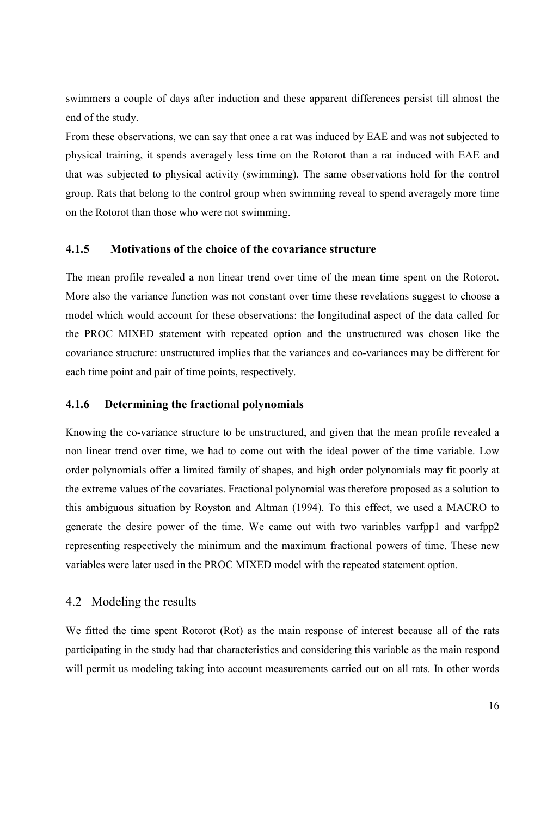swimmers a couple of days after induction and these apparent differences persist till almost the end of the study.

From these observations, we can say that once a rat was induced by EAE and was not subjected to physical training, it spends averagely less time on the Rotorot than a rat induced with EAE and that was subjected to physical activity (swimming). The same observations hold for the control group. Rats that belong to the control group when swimming reveal to spend averagely more time on the Rotorot than those who were not swimming.

#### 4.1.5 Motivations of the choice of the covariance structure

The mean profile revealed a non linear trend over time of the mean time spent on the Rotorot. More also the variance function was not constant over time these revelations suggest to choose a model which would account for these observations: the longitudinal aspect of the data called for the PROC MIXED statement with repeated option and the unstructured was chosen like the covariance structure: unstructured implies that the variances and co-variances may be different for each time point and pair of time points, respectively.

#### 4.1.6 Determining the fractional polynomials

Knowing the co-variance structure to be unstructured, and given that the mean profile revealed a non linear trend over time, we had to come out with the ideal power of the time variable. Low order polynomials offer a limited family of shapes, and high order polynomials may fit poorly at the extreme values of the covariates. Fractional polynomial was therefore proposed as a solution to this ambiguous situation by Royston and Altman (1994). To this effect, we used a MACRO to generate the desire power of the time. We came out with two variables varfpp1 and varfpp2 representing respectively the minimum and the maximum fractional powers of time. These new variables were later used in the PROC MIXED model with the repeated statement option.

### 4.2 Modeling the results

We fitted the time spent Rotorot (Rot) as the main response of interest because all of the rats participating in the study had that characteristics and considering this variable as the main respond will permit us modeling taking into account measurements carried out on all rats. In other words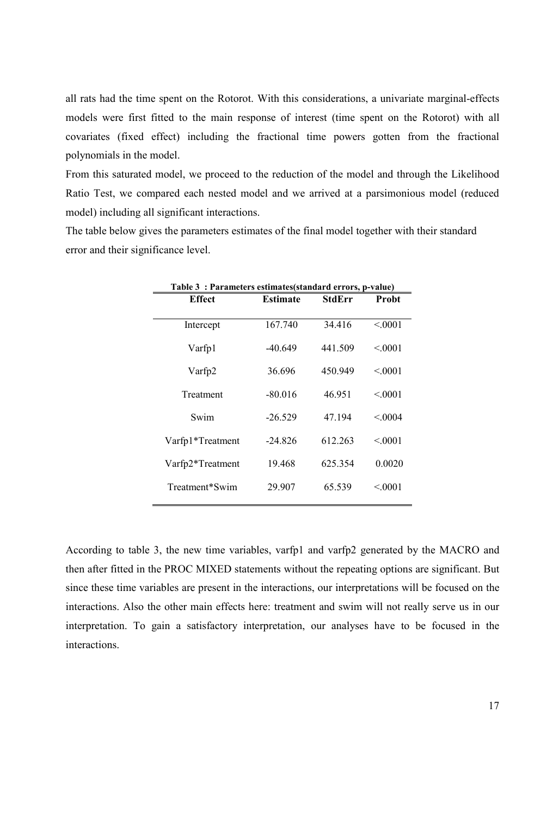all rats had the time spent on the Rotorot. With this considerations, a univariate marginal-effects models were first fitted to the main response of interest (time spent on the Rotorot) with all covariates (fixed effect) including the fractional time powers gotten from the fractional polynomials in the model.

From this saturated model, we proceed to the reduction of the model and through the Likelihood Ratio Test, we compared each nested model and we arrived at a parsimonious model (reduced model) including all significant interactions.

The table below gives the parameters estimates of the final model together with their standard error and their significance level.

| Table 3: Parameters estimates (standard errors, p-value) |                 |         |         |  |  |
|----------------------------------------------------------|-----------------|---------|---------|--|--|
| Effect                                                   | <b>Estimate</b> | StdErr  | Probt   |  |  |
|                                                          |                 |         |         |  |  |
| Intercept                                                | 167.740         | 34 4 16 | < 0.001 |  |  |
|                                                          |                 |         |         |  |  |
| Varfp1                                                   | $-40.649$       | 441.509 | < 0.001 |  |  |
|                                                          |                 |         |         |  |  |
| Varfp2                                                   | 36.696          | 450.949 | < 0.001 |  |  |
| Treatment                                                | $-80.016$       | 46.951  | < 0.001 |  |  |
|                                                          |                 |         |         |  |  |
| Swim                                                     | $-26.529$       | 47.194  | < 0.004 |  |  |
|                                                          |                 |         |         |  |  |
| Varfp1*Treatment                                         | $-24.826$       | 612 263 | < 0.001 |  |  |
|                                                          |                 |         |         |  |  |
| Varfp2*Treatment                                         | 19.468          | 625.354 | 0.0020  |  |  |
|                                                          |                 |         |         |  |  |
| Treatment*Swim                                           | 29.907          | 65.539  | < 0.001 |  |  |
|                                                          |                 |         |         |  |  |

According to table 3, the new time variables, varfp1 and varfp2 generated by the MACRO and then after fitted in the PROC MIXED statements without the repeating options are significant. But since these time variables are present in the interactions, our interpretations will be focused on the interactions. Also the other main effects here: treatment and swim will not really serve us in our interpretation. To gain a satisfactory interpretation, our analyses have to be focused in the interactions.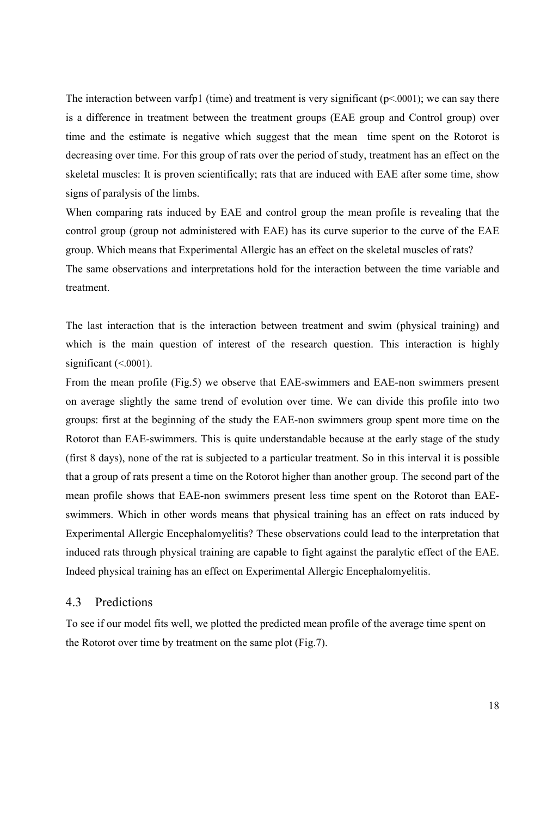The interaction between varfp1 (time) and treatment is very significant  $(p< .0001)$ ; we can say there is a difference in treatment between the treatment groups (EAE group and Control group) over time and the estimate is negative which suggest that the mean time spent on the Rotorot is decreasing over time. For this group of rats over the period of study, treatment has an effect on the skeletal muscles: It is proven scientifically; rats that are induced with EAE after some time, show signs of paralysis of the limbs.

When comparing rats induced by EAE and control group the mean profile is revealing that the control group (group not administered with EAE) has its curve superior to the curve of the EAE group. Which means that Experimental Allergic has an effect on the skeletal muscles of rats? The same observations and interpretations hold for the interaction between the time variable and treatment.

The last interaction that is the interaction between treatment and swim (physical training) and which is the main question of interest of the research question. This interaction is highly significant  $( $0001$ ).$ 

From the mean profile (Fig.5) we observe that EAE-swimmers and EAE-non swimmers present on average slightly the same trend of evolution over time. We can divide this profile into two groups: first at the beginning of the study the EAE-non swimmers group spent more time on the Rotorot than EAE-swimmers. This is quite understandable because at the early stage of the study (first 8 days), none of the rat is subjected to a particular treatment. So in this interval it is possible that a group of rats present a time on the Rotorot higher than another group. The second part of the mean profile shows that EAE-non swimmers present less time spent on the Rotorot than EAEswimmers. Which in other words means that physical training has an effect on rats induced by Experimental Allergic Encephalomyelitis? These observations could lead to the interpretation that induced rats through physical training are capable to fight against the paralytic effect of the EAE. Indeed physical training has an effect on Experimental Allergic Encephalomyelitis.

### 4.3 Predictions

To see if our model fits well, we plotted the predicted mean profile of the average time spent on the Rotorot over time by treatment on the same plot (Fig.7).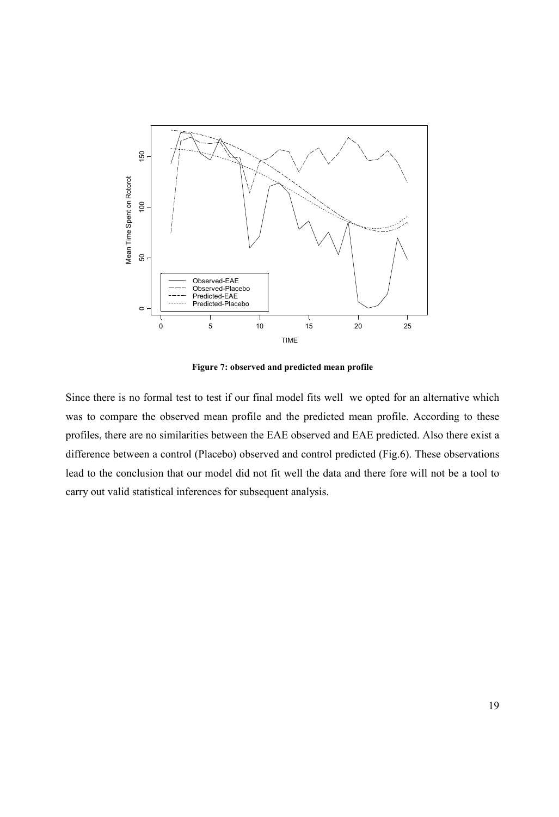

Figure 7: observed and predicted mean profile

Since there is no formal test to test if our final model fits well we opted for an alternative which was to compare the observed mean profile and the predicted mean profile. According to these profiles, there are no similarities between the EAE observed and EAE predicted. Also there exist a difference between a control (Placebo) observed and control predicted (Fig.6). These observations lead to the conclusion that our model did not fit well the data and there fore will not be a tool to carry out valid statistical inferences for subsequent analysis.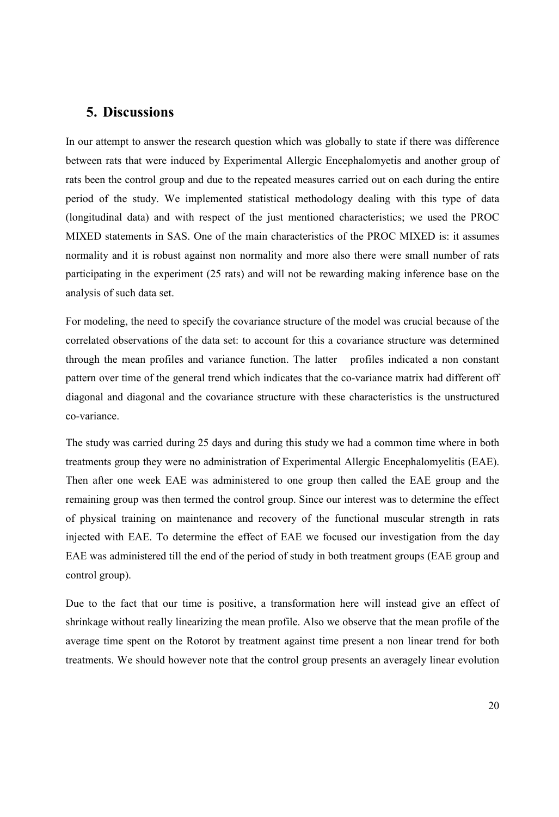## 5. Discussions

In our attempt to answer the research question which was globally to state if there was difference between rats that were induced by Experimental Allergic Encephalomyetis and another group of rats been the control group and due to the repeated measures carried out on each during the entire period of the study. We implemented statistical methodology dealing with this type of data (longitudinal data) and with respect of the just mentioned characteristics; we used the PROC MIXED statements in SAS. One of the main characteristics of the PROC MIXED is: it assumes normality and it is robust against non normality and more also there were small number of rats participating in the experiment (25 rats) and will not be rewarding making inference base on the analysis of such data set.

For modeling, the need to specify the covariance structure of the model was crucial because of the correlated observations of the data set: to account for this a covariance structure was determined through the mean profiles and variance function. The latter profiles indicated a non constant pattern over time of the general trend which indicates that the co-variance matrix had different off diagonal and diagonal and the covariance structure with these characteristics is the unstructured co-variance.

The study was carried during 25 days and during this study we had a common time where in both treatments group they were no administration of Experimental Allergic Encephalomyelitis (EAE). Then after one week EAE was administered to one group then called the EAE group and the remaining group was then termed the control group. Since our interest was to determine the effect of physical training on maintenance and recovery of the functional muscular strength in rats injected with EAE. To determine the effect of EAE we focused our investigation from the day EAE was administered till the end of the period of study in both treatment groups (EAE group and control group).

Due to the fact that our time is positive, a transformation here will instead give an effect of shrinkage without really linearizing the mean profile. Also we observe that the mean profile of the average time spent on the Rotorot by treatment against time present a non linear trend for both treatments. We should however note that the control group presents an averagely linear evolution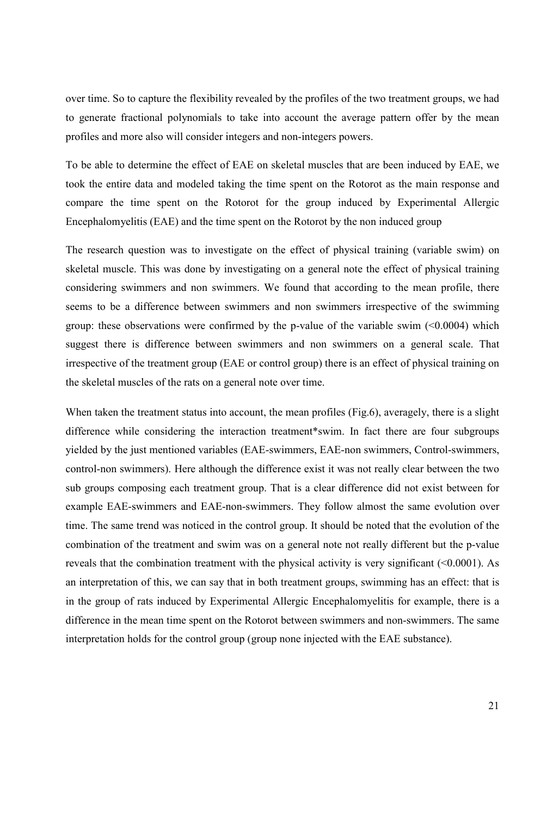over time. So to capture the flexibility revealed by the profiles of the two treatment groups, we had to generate fractional polynomials to take into account the average pattern offer by the mean profiles and more also will consider integers and non-integers powers.

To be able to determine the effect of EAE on skeletal muscles that are been induced by EAE, we took the entire data and modeled taking the time spent on the Rotorot as the main response and compare the time spent on the Rotorot for the group induced by Experimental Allergic Encephalomyelitis (EAE) and the time spent on the Rotorot by the non induced group

The research question was to investigate on the effect of physical training (variable swim) on skeletal muscle. This was done by investigating on a general note the effect of physical training considering swimmers and non swimmers. We found that according to the mean profile, there seems to be a difference between swimmers and non swimmers irrespective of the swimming group: these observations were confirmed by the p-value of the variable swim  $\leq 0.0004$ ) which suggest there is difference between swimmers and non swimmers on a general scale. That irrespective of the treatment group (EAE or control group) there is an effect of physical training on the skeletal muscles of the rats on a general note over time.

When taken the treatment status into account, the mean profiles (Fig.6), averagely, there is a slight difference while considering the interaction treatment\*swim. In fact there are four subgroups yielded by the just mentioned variables (EAE-swimmers, EAE-non swimmers, Control-swimmers, control-non swimmers). Here although the difference exist it was not really clear between the two sub groups composing each treatment group. That is a clear difference did not exist between for example EAE-swimmers and EAE-non-swimmers. They follow almost the same evolution over time. The same trend was noticed in the control group. It should be noted that the evolution of the combination of the treatment and swim was on a general note not really different but the p-value reveals that the combination treatment with the physical activity is very significant  $(<0.0001$ ). As an interpretation of this, we can say that in both treatment groups, swimming has an effect: that is in the group of rats induced by Experimental Allergic Encephalomyelitis for example, there is a difference in the mean time spent on the Rotorot between swimmers and non-swimmers. The same interpretation holds for the control group (group none injected with the EAE substance).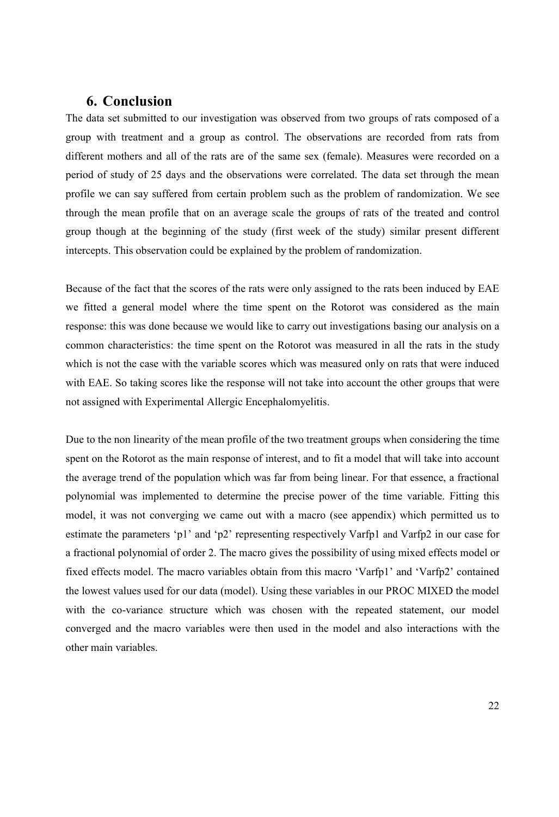### 6. Conclusion

The data set submitted to our investigation was observed from two groups of rats composed of a group with treatment and a group as control. The observations are recorded from rats from different mothers and all of the rats are of the same sex (female). Measures were recorded on a period of study of 25 days and the observations were correlated. The data set through the mean profile we can say suffered from certain problem such as the problem of randomization. We see through the mean profile that on an average scale the groups of rats of the treated and control group though at the beginning of the study (first week of the study) similar present different intercepts. This observation could be explained by the problem of randomization.

Because of the fact that the scores of the rats were only assigned to the rats been induced by EAE we fitted a general model where the time spent on the Rotorot was considered as the main response: this was done because we would like to carry out investigations basing our analysis on a common characteristics: the time spent on the Rotorot was measured in all the rats in the study which is not the case with the variable scores which was measured only on rats that were induced with EAE. So taking scores like the response will not take into account the other groups that were not assigned with Experimental Allergic Encephalomyelitis.

Due to the non linearity of the mean profile of the two treatment groups when considering the time spent on the Rotorot as the main response of interest, and to fit a model that will take into account the average trend of the population which was far from being linear. For that essence, a fractional polynomial was implemented to determine the precise power of the time variable. Fitting this model, it was not converging we came out with a macro (see appendix) which permitted us to estimate the parameters 'p1' and 'p2' representing respectively Varfp1 and Varfp2 in our case for a fractional polynomial of order 2. The macro gives the possibility of using mixed effects model or fixed effects model. The macro variables obtain from this macro 'Varfp1' and 'Varfp2' contained the lowest values used for our data (model). Using these variables in our PROC MIXED the model with the co-variance structure which was chosen with the repeated statement, our model converged and the macro variables were then used in the model and also interactions with the other main variables.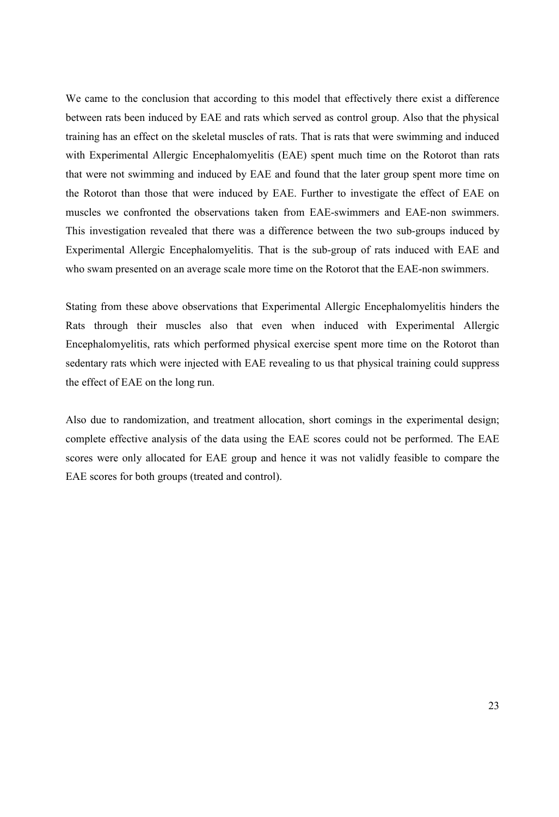We came to the conclusion that according to this model that effectively there exist a difference between rats been induced by EAE and rats which served as control group. Also that the physical training has an effect on the skeletal muscles of rats. That is rats that were swimming and induced with Experimental Allergic Encephalomyelitis (EAE) spent much time on the Rotorot than rats that were not swimming and induced by EAE and found that the later group spent more time on the Rotorot than those that were induced by EAE. Further to investigate the effect of EAE on muscles we confronted the observations taken from EAE-swimmers and EAE-non swimmers. This investigation revealed that there was a difference between the two sub-groups induced by Experimental Allergic Encephalomyelitis. That is the sub-group of rats induced with EAE and who swam presented on an average scale more time on the Rotorot that the EAE-non swimmers.

Stating from these above observations that Experimental Allergic Encephalomyelitis hinders the Rats through their muscles also that even when induced with Experimental Allergic Encephalomyelitis, rats which performed physical exercise spent more time on the Rotorot than sedentary rats which were injected with EAE revealing to us that physical training could suppress the effect of EAE on the long run.

Also due to randomization, and treatment allocation, short comings in the experimental design; complete effective analysis of the data using the EAE scores could not be performed. The EAE scores were only allocated for EAE group and hence it was not validly feasible to compare the EAE scores for both groups (treated and control).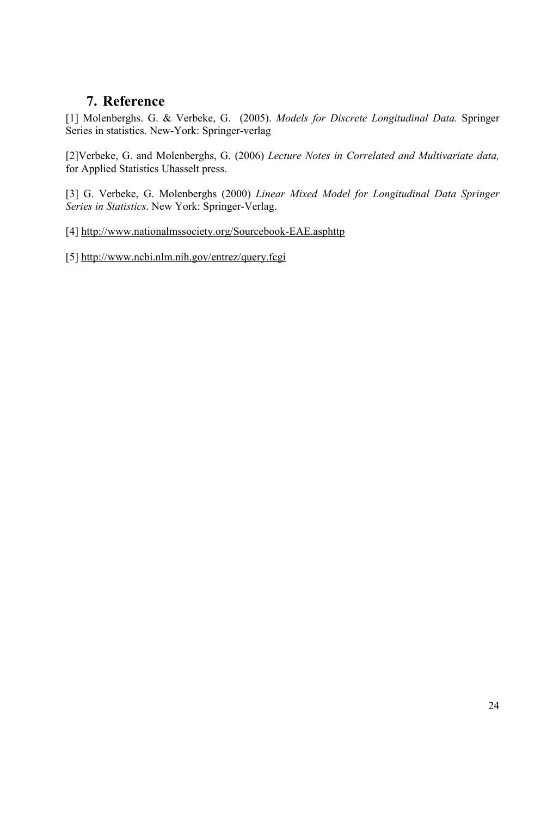## 7. Reference

[1] Molenberghs. G. & Verbeke, G. (2005). Models for Discrete Longitudinal Data. Springer Series in statistics. New-York: Springer-verlag

[2]Verbeke, G. and Molenberghs, G. (2006) Lecture Notes in Correlated and Multivariate data, for Applied Statistics Uhasselt press.

[3] G. Verbeke, G. Molenberghs (2000) Linear Mixed Model for Longitudinal Data Springer Series in Statistics. New York: Springer-Verlag.

[4] http://www.nationalmssociety.org/Sourcebook-EAE.asphttp

[5] http://www.ncbi.nlm.nih.gov/entrez/query.fcgi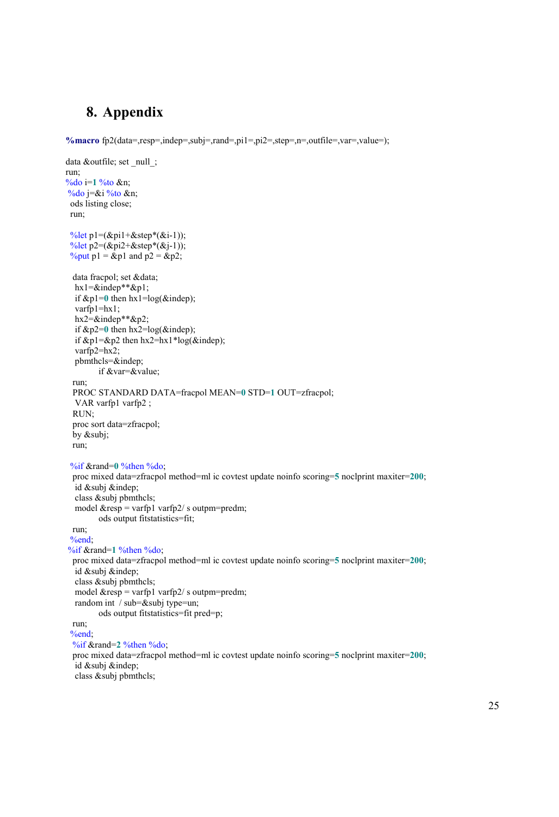## 8. Appendix

%macro fp2(data=,resp=,indep=,subj=,rand=,pi1=,pi2=,step=,n=,outfile=,var=,value=);

```
data &outfile; set _null_; 
run; 
%do i=1 %to &n; 
%do j=&i %to &n,
  ods listing close; 
  run; 
 \%let p1=(&pi1+&step*(&i-1));
 \frac{\%}{\e}tet p2=(&pi2+&step*(&j-1));
 \%put p1 = &p1 and p2 = &p2;
  data fracpol; set &data; 
  hx1=&indep**&p1;
  if \& p1=0 then hx1=log(\&indep);
   varfp1=hx1; 
   hx2=&indep**&p2; 
  if \&p2=0 then hx2=log(\&pindep);
  if \&p1=\&p2 then hx2=hx1*log(\&indep);
   varfp2=hx2; 
   pbmthcls=&indep; 
          if &var=&value; 
  run; 
  PROC STANDARD DATA=fracpol MEAN=0 STD=1 OUT=zfracpol; 
   VAR varfp1 varfp2 ; 
  RUN; 
  proc sort data=zfracpol; 
  by &subj; 
  run; 
  %if &rand=0 %then %do; 
  proc mixed data=zfracpol method=ml ic covtest update noinfo scoring=5 noclprint maxiter=200; 
   id &subj &indep; 
   class &subj pbmthcls; 
  model \&resp = varfp1 varfp2/s outpm=predm;
          ods output fitstatistics=fit; 
  run; 
  %end; 
%if &rand=1 %then %do; 
  proc mixed data=zfracpol method=ml ic covtest update noinfo scoring=5 noclprint maxiter=200; 
   id &subj &indep; 
   class &subj pbmthcls; 
  model \&resp = varfp1 varfp2/s outpm=predm;
   random int / sub=&subj type=un; 
         ods output fitstatistics=fit pred=p; 
  run; 
  %end; 
  %if &rand=2 %then %do; 
  proc mixed data=zfracpol method=ml ic covtest update noinfo scoring=5 noclprint maxiter=200; 
   id &subj &indep; 
   class &subj pbmthcls;
```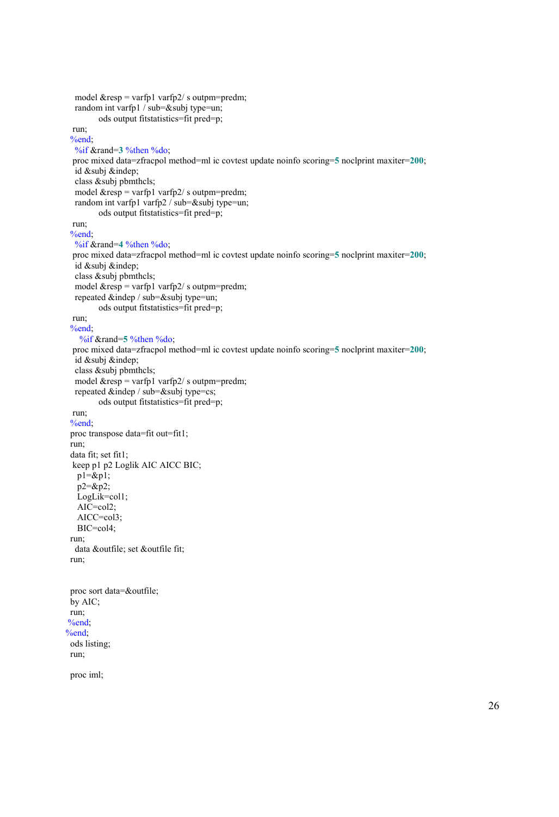```
model &resp = varfp1 varfp2/s outpm=predm;
   random int varfp1 / sub=&subj type=un; 
          ods output fitstatistics=fit pred=p; 
  run; 
  %end; 
   %if &rand=3 %then %do; 
  proc mixed data=zfracpol method=ml ic covtest update noinfo scoring=5 noclprint maxiter=200; 
   id &subj &indep; 
   class &subj pbmthcls; 
  model \&resp = varfp1 varfp2/s outpm=predm;
   random int varfp1 varfp2 / sub=&subj type=un; 
          ods output fitstatistics=fit pred=p; 
  run; 
  %end; 
   %if &rand=4 %then %do; 
  proc mixed data=zfracpol method=ml ic covtest update noinfo scoring=5 noclprint maxiter=200; 
   id &subj &indep; 
   class &subj pbmthcls; 
  model \&resp = varfp1 varfp2/s outpm=predm;
   repeated &indep / sub=&subj type=un; 
          ods output fitstatistics=fit pred=p; 
  run; 
  %end; 
    %if &rand=5 %then %do; 
  proc mixed data=zfracpol method=ml ic covtest update noinfo scoring=5 noclprint maxiter=200; 
   id &subj &indep; 
   class &subj pbmthcls; 
  model \&resp = varfp1 varfp2/s outpm=predm;
   repeated &indep / sub=&subj type=cs; 
          ods output fitstatistics=fit pred=p; 
  run; 
  %end; 
  proc transpose data=fit out=fit1; 
  run; 
  data fit; set fit1; 
  keep p1 p2 Loglik AIC AICC BIC; 
   p1 = \&p1; p2=&p2; 
    LogLik=col1; 
    AIC=col2; 
    AICC=col3; 
    BIC=col4; 
  run; 
   data &outfile; set &outfile fit; 
  run; 
  proc sort data=&outfile; 
  by AIC; 
  run; 
%end; 
%end; 
  ods listing; 
  run; 
  proc iml;
```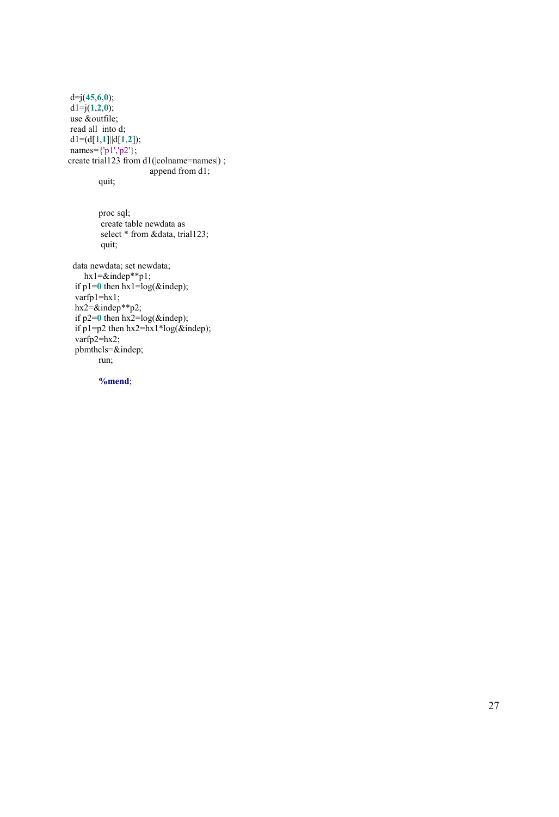$d=j(45,6,0);$  $dl = j(1,2,0);$  use &outfile; read all into d;  $dl=(d[1,1]||d[1,2])$ ; names= $\{|p1\rangle, |p2\rangle\}$ ; create trial123 from d1(|colname=names|) ; append from d1;

quit;

```
 proc sql; 
 create table newdata as 
select * from &data, trial123;
 quit;
```
 data newdata; set newdata;  $hx1=$  $\&$ indep\*\*p1; if  $p1=0$  then  $hx1=log(\&indep)$ ;  $varfp1=hx1;$  $hx2=&\text{indep}^{**}p2;$ if  $p2=0$  then  $hx2=log(\&indep)$ ; if p1=p2 then hx2=hx1\*log(&indep);  $varfp2=hx2;$  pbmthcls=&indep; run;

%mend;